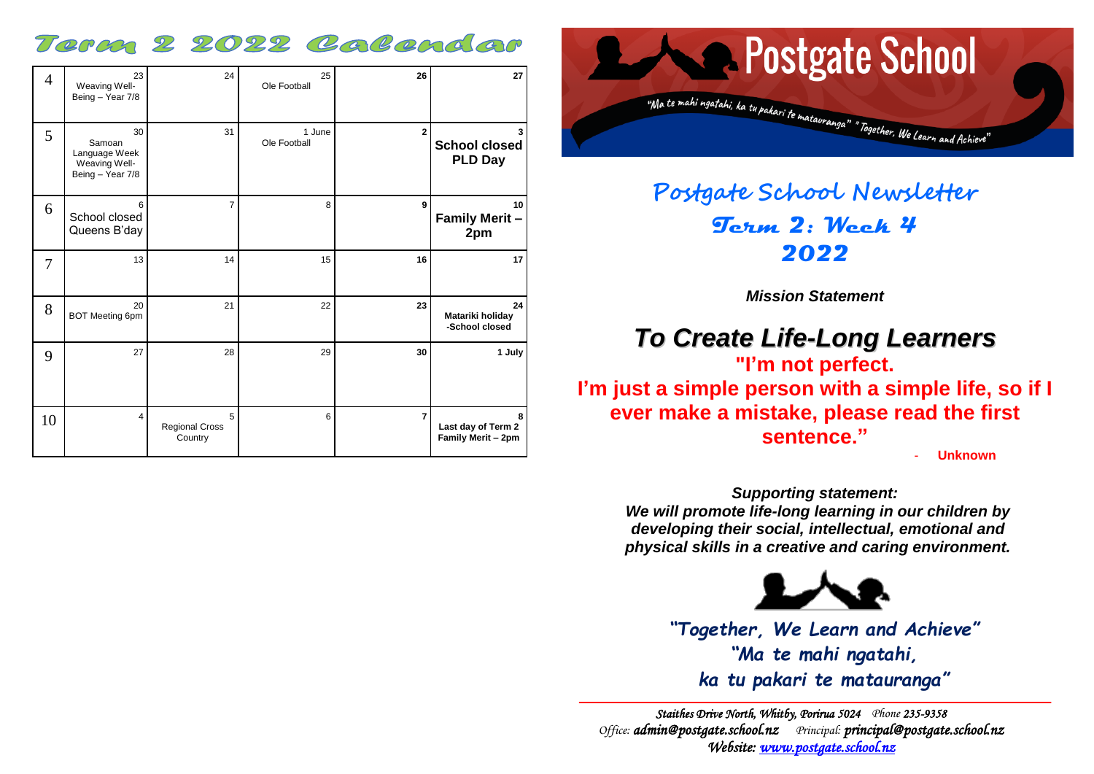### Term 2 2022 Calendar

| $\overline{4}$ | 23<br>Weaving Well-<br>Being - Year 7/8                            | 24                             | 25<br>Ole Football     | 26             | 27                                            |
|----------------|--------------------------------------------------------------------|--------------------------------|------------------------|----------------|-----------------------------------------------|
| 5              | 30<br>Samoan<br>Language Week<br>Weaving Well-<br>Being - Year 7/8 | 31                             | 1 June<br>Ole Football | $\mathbf{2}$   | <b>School closed</b><br><b>PLD Day</b>        |
| 6              | 6<br>School closed<br>Queens B'day                                 | $\overline{7}$                 | 8                      | 9              | 10<br><b>Family Merit -</b><br>2pm            |
| 7              | 13                                                                 | 14                             | 15                     | 16             | 17                                            |
| 8              | 20<br><b>BOT Meeting 6pm</b>                                       | 21                             | 22                     | 23             | 24<br>Matariki holiday<br>-School closed      |
| 9              | 27                                                                 | 28                             | 29                     | 30             | 1 July                                        |
| 10             | 4                                                                  | 5<br>Regional Cross<br>Country | 6                      | $\overline{7}$ | 8<br>Last day of Term 2<br>Family Merit - 2pm |



## **Postgate School Newsletter Term 2: Week 4 2022**

*Mission Statement*

# *To Create Life-Long Learners*

**"I'm not perfect. I'm just a simple person with a simple life, so if I ever make a mistake, please read the first sentence."**

- **Unknown**

*Supporting statement: We will promote life-long learning in our children by developing their social, intellectual, emotional and physical skills in a creative and caring environment.*



*"Together, We Learn and Achieve" "Ma te mahi ngatahi, ka tu pakari te matauranga"*

*Staithes Drive North, Whitby, Porirua 5024 Phone 235-9358 Office: [admin@postgate.school.nz](mailto:admin@postgate.school.nz) Principal: [principal@postgate.school.nz](mailto:principal@postgate.school.nz)  Website: [www.postgate.school.nz](http://www.postgate.school.nz/)*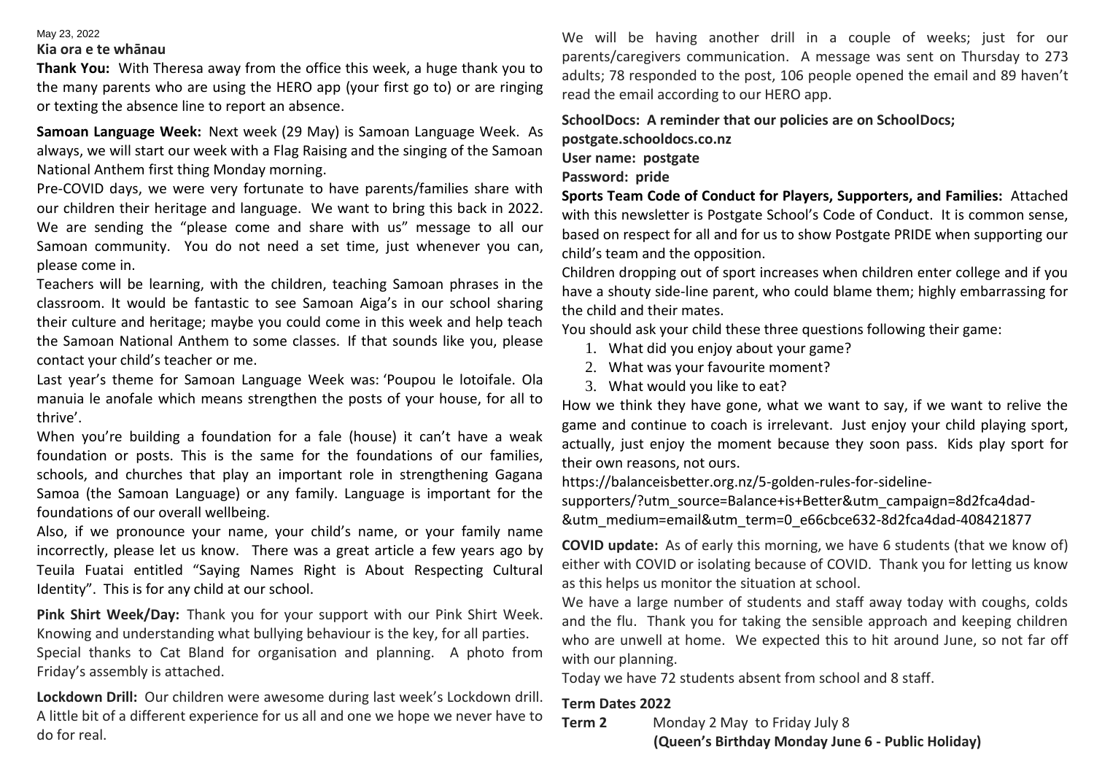#### May 23, 2022

#### **Kia ora e te whānau**

**Thank You:** With Theresa away from the office this week, a huge thank you to the many parents who are using the HERO app (your first go to) or are ringing or texting the absence line to report an absence.

**Samoan Language Week:** Next week (29 May) is Samoan Language Week. As always, we will start our week with a Flag Raising and the singing of the Samoan National Anthem first thing Monday morning.

Pre-COVID days, we were very fortunate to have parents/families share with our children their heritage and language. We want to bring this back in 2022. We are sending the "please come and share with us" message to all our Samoan community. You do not need a set time, just whenever you can, please come in.

Teachers will be learning, with the children, teaching Samoan phrases in the classroom. It would be fantastic to see Samoan Aiga's in our school sharing their culture and heritage; maybe you could come in this week and help teach the Samoan National Anthem to some classes. If that sounds like you, please contact your child's teacher or me.

Last year's theme for Samoan Language Week was: 'Poupou le lotoifale. Ola manuia le anofale which means strengthen the posts of your house, for all to thrive'.

When you're building a foundation for a fale (house) it can't have a weak foundation or posts. This is the same for the foundations of our families, schools, and churches that play an important role in strengthening Gagana Samoa (the Samoan Language) or any family. Language is important for the foundations of our overall wellbeing.

Also, if we pronounce your name, your child's name, or your family name incorrectly, please let us know. There was a great article a few years ago by Teuila Fuatai entitled "Saying Names Right is About Respecting Cultural Identity". This is for any child at our school.

**Pink Shirt Week/Day:** Thank you for your support with our Pink Shirt Week. Knowing and understanding what bullying behaviour is the key, for all parties. Special thanks to Cat Bland for organisation and planning. A photo from Friday's assembly is attached.

**Lockdown Drill:** Our children were awesome during last week's Lockdown drill. A little bit of a different experience for us all and one we hope we never have to do for real.

We will be having another drill in a couple of weeks; just for our parents/caregivers communication. A message was sent on Thursday to 273 adults; 78 responded to the post, 106 people opened the email and 89 haven't read the email according to our HERO app.

**SchoolDocs: A reminder that our policies are on SchoolDocs;** 

**postgate.schooldocs.co.nz**

#### **User name: postgate**

#### **Password: pride**

**Sports Team Code of Conduct for Players, Supporters, and Families:** Attached with this newsletter is Postgate School's Code of Conduct. It is common sense, based on respect for all and for us to show Postgate PRIDE when supporting our child's team and the opposition.

Children dropping out of sport increases when children enter college and if you have a shouty side-line parent, who could blame them; highly embarrassing for the child and their mates.

You should ask your child these three questions following their game:

- 1. What did you enjoy about your game?
- 2. What was your favourite moment?
- 3. What would you like to eat?

How we think they have gone, what we want to say, if we want to relive the game and continue to coach is irrelevant. Just enjoy your child playing sport, actually, just enjoy the moment because they soon pass. Kids play sport for their own reasons, not ours.

https://balanceisbetter.org.nz/5-golden-rules-for-sideline-

supporters/?utm\_source=Balance+is+Better&utm\_campaign=8d2fca4dad- &utm\_medium=email&utm\_term=0\_e66cbce632-8d2fca4dad-408421877

**COVID update:** As of early this morning, we have 6 students (that we know of) either with COVID or isolating because of COVID. Thank you for letting us know as this helps us monitor the situation at school.

We have a large number of students and staff away today with coughs, colds and the flu. Thank you for taking the sensible approach and keeping children who are unwell at home. We expected this to hit around June, so not far off with our planning.

Today we have 72 students absent from school and 8 staff.

#### **Term Dates 2022**

**Term 2** Monday 2 May to Friday July 8

 **(Queen's Birthday Monday June 6 - Public Holiday)**